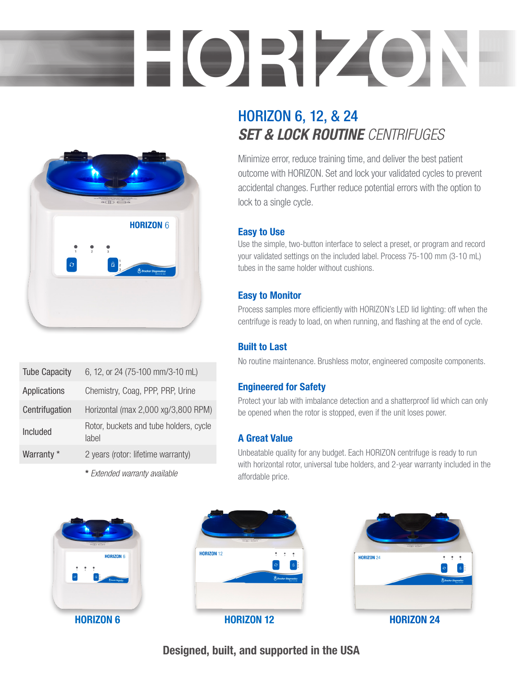# HORIZON



| <b>Tube Capacity</b> | 6, 12, or 24 (75-100 mm/3-10 mL)                |
|----------------------|-------------------------------------------------|
| Applications         | Chemistry, Coag, PPP, PRP, Urine                |
| Centrifugation       | Horizontal (max 2,000 xg/3,800 RPM)             |
| Included             | Rotor, buckets and tube holders, cycle<br>lahel |
| Warranty *           | 2 years (rotor: lifetime warranty)              |
|                      |                                                 |

\* *Extended warranty available*

# HORIZON 6, 12, & 24 *SET & LOCK ROUTINE CENTRIFUGES*

Minimize error, reduce training time, and deliver the best patient outcome with HORIZON. Set and lock your validated cycles to prevent accidental changes. Further reduce potential errors with the option to lock to a single cycle.

### Easy to Use

Use the simple, two-button interface to select a preset, or program and record your validated settings on the included label. Process 75-100 mm (3-10 mL) tubes in the same holder without cushions.

### Easy to Monitor

Process samples more efficiently with HORIZON's LED lid lighting: off when the centrifuge is ready to load, on when running, and flashing at the end of cycle.

### Built to Last

No routine maintenance. Brushless motor, engineered composite components.

### Engineered for Safety

Protect your lab with imbalance detection and a shatterproof lid which can only be opened when the rotor is stopped, even if the unit loses power.

### A Great Value

Unbeatable quality for any budget. Each HORIZON centrifuge is ready to run with horizontal rotor, universal tube holders, and 2-year warranty included in the affordable price.







Designed, built, and supported in the USA